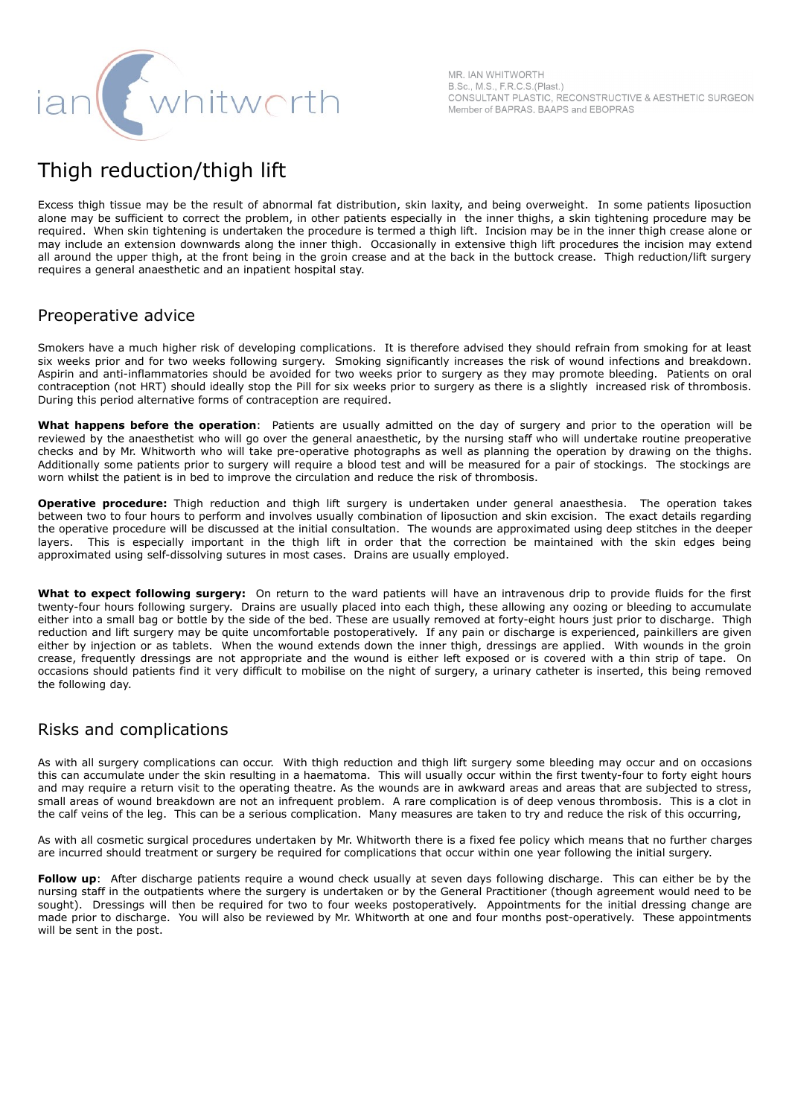

MR. IAN WHITWORTH B.Sc., M.S., F.R.C.S.(Plast.) CONSULTANT PLASTIC, RECONSTRUCTIVE & AESTHETIC SURGEON Member of BAPRAS, BAAPS and EBOPRAS

## Thigh reduction/thigh lift

Excess thigh tissue may be the result of abnormal fat distribution, skin laxity, and being overweight. In some patients liposuction alone may be sufficient to correct the problem, in other patients especially in the inner thighs, a skin tightening procedure may be required. When skin tightening is undertaken the procedure is termed a thigh lift. Incision may be in the inner thigh crease alone or may include an extension downwards along the inner thigh. Occasionally in extensive thigh lift procedures the incision may extend all around the upper thigh, at the front being in the groin crease and at the back in the buttock crease. Thigh reduction/lift surgery requires a general anaesthetic and an inpatient hospital stay.

## Preoperative advice

Smokers have a much higher risk of developing complications. It is therefore advised they should refrain from smoking for at least six weeks prior and for two weeks following surgery. Smoking significantly increases the risk of wound infections and breakdown. Aspirin and anti-inflammatories should be avoided for two weeks prior to surgery as they may promote bleeding. Patients on oral contraception (not HRT) should ideally stop the Pill for six weeks prior to surgery as there is a slightly increased risk of thrombosis. During this period alternative forms of contraception are required.

**What happens before the operation**: Patients are usually admitted on the day of surgery and prior to the operation will be reviewed by the anaesthetist who will go over the general anaesthetic, by the nursing staff who will undertake routine preoperative checks and by Mr. Whitworth who will take pre-operative photographs as well as planning the operation by drawing on the thighs. Additionally some patients prior to surgery will require a blood test and will be measured for a pair of stockings. The stockings are worn whilst the patient is in bed to improve the circulation and reduce the risk of thrombosis.

**Operative procedure:** Thigh reduction and thigh lift surgery is undertaken under general anaesthesia. The operation takes between two to four hours to perform and involves usually combination of liposuction and skin excision. The exact details regarding the operative procedure will be discussed at the initial consultation. The wounds are approximated using deep stitches in the deeper layers. This is especially important in the thigh lift in order that the correction be maintained with the skin edges being approximated using self-dissolving sutures in most cases. Drains are usually employed.

**What to expect following surgery:** On return to the ward patients will have an intravenous drip to provide fluids for the first twenty-four hours following surgery. Drains are usually placed into each thigh, these allowing any oozing or bleeding to accumulate either into a small bag or bottle by the side of the bed. These are usually removed at forty-eight hours just prior to discharge. Thigh reduction and lift surgery may be quite uncomfortable postoperatively. If any pain or discharge is experienced, painkillers are given either by injection or as tablets. When the wound extends down the inner thigh, dressings are applied. With wounds in the groin crease, frequently dressings are not appropriate and the wound is either left exposed or is covered with a thin strip of tape. On occasions should patients find it very difficult to mobilise on the night of surgery, a urinary catheter is inserted, this being removed the following day.

## Risks and complications

As with all surgery complications can occur. With thigh reduction and thigh lift surgery some bleeding may occur and on occasions this can accumulate under the skin resulting in a haematoma. This will usually occur within the first twenty-four to forty eight hours and may require a return visit to the operating theatre. As the wounds are in awkward areas and areas that are subjected to stress, small areas of wound breakdown are not an infrequent problem. A rare complication is of deep venous thrombosis. This is a clot in the calf veins of the leg. This can be a serious complication. Many measures are taken to try and reduce the risk of this occurring,

As with all cosmetic surgical procedures undertaken by Mr. Whitworth there is a fixed fee policy which means that no further charges are incurred should treatment or surgery be required for complications that occur within one year following the initial surgery.

**Follow up**: After discharge patients require a wound check usually at seven days following discharge. This can either be by the nursing staff in the outpatients where the surgery is undertaken or by the General Practitioner (though agreement would need to be sought). Dressings will then be required for two to four weeks postoperatively. Appointments for the initial dressing change are made prior to discharge. You will also be reviewed by Mr. Whitworth at one and four months post-operatively. These appointments will be sent in the post.